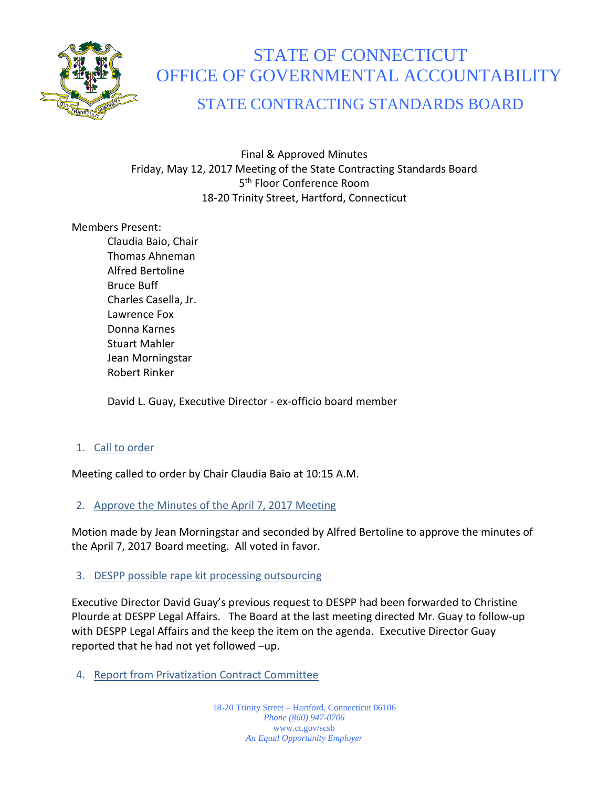

# STATE OF CONNECTICUT OFFICE OF GOVERNMENTAL ACCOUNTABILITY

STATE CONTRACTING STANDARDS BOARD

Final & Approved Minutes Friday, May 12, 2017 Meeting of the State Contracting Standards Board 5<sup>th</sup> Floor Conference Room 18-20 Trinity Street, Hartford, Connecticut

Members Present:

Claudia Baio, Chair Thomas Ahneman Alfred Bertoline Bruce Buff Charles Casella, Jr. Lawrence Fox Donna Karnes Stuart Mahler Jean Morningstar Robert Rinker

David L. Guay, Executive Director - ex-officio board member

# 1. Call to order

Meeting called to order by Chair Claudia Baio at 10:15 A.M.

# 2. Approve the Minutes of the April 7, 2017 Meeting

Motion made by Jean Morningstar and seconded by Alfred Bertoline to approve the minutes of the April 7, 2017 Board meeting. All voted in favor.

## 3. DESPP possible rape kit processing outsourcing

Executive Director David Guay's previous request to DESPP had been forwarded to Christine Plourde at DESPP Legal Affairs. The Board at the last meeting directed Mr. Guay to follow-up with DESPP Legal Affairs and the keep the item on the agenda. Executive Director Guay reported that he had not yet followed –up.

4. Report from Privatization Contract Committee

18-20 Trinity Street – Hartford, Connecticut 06106 *Phone (860) 947-0706*  www.ct.gov/scsb *An Equal Opportunity Employer*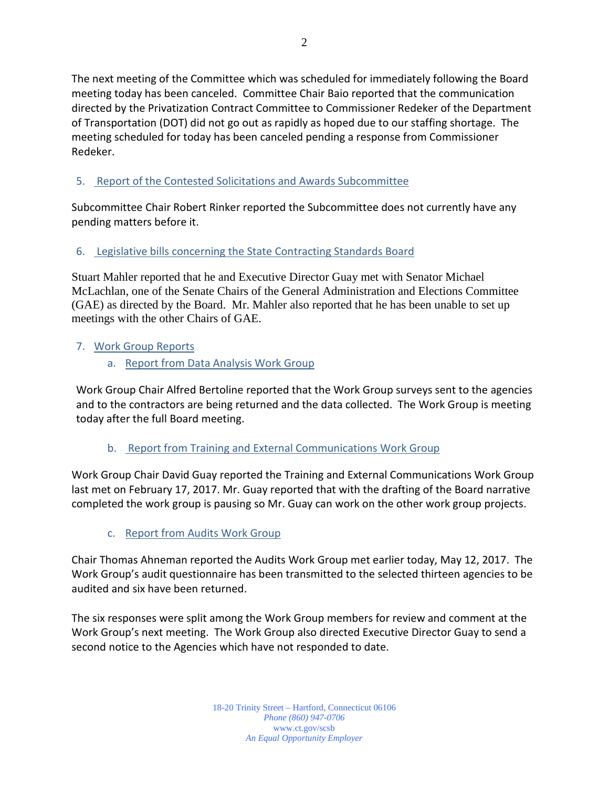The next meeting of the Committee which was scheduled for immediately following the Board meeting today has been canceled. Committee Chair Baio reported that the communication directed by the Privatization Contract Committee to Commissioner Redeker of the Department of Transportation (DOT) did not go out as rapidly as hoped due to our staffing shortage. The meeting scheduled for today has been canceled pending a response from Commissioner Redeker.

# 5. Report of the Contested Solicitations and Awards Subcommittee

Subcommittee Chair Robert Rinker reported the Subcommittee does not currently have any pending matters before it.

# 6. Legislative bills concerning the State Contracting Standards Board

Stuart Mahler reported that he and Executive Director Guay met with Senator Michael McLachlan, one of the Senate Chairs of the General Administration and Elections Committee (GAE) as directed by the Board. Mr. Mahler also reported that he has been unable to set up meetings with the other Chairs of GAE.

# 7. Work Group Reports

a. Report from Data Analysis Work Group

Work Group Chair Alfred Bertoline reported that the Work Group surveys sent to the agencies and to the contractors are being returned and the data collected. The Work Group is meeting today after the full Board meeting.

# b. Report from Training and External Communications Work Group

Work Group Chair David Guay reported the Training and External Communications Work Group last met on February 17, 2017. Mr. Guay reported that with the drafting of the Board narrative completed the work group is pausing so Mr. Guay can work on the other work group projects.

# c. Report from Audits Work Group

Chair Thomas Ahneman reported the Audits Work Group met earlier today, May 12, 2017. The Work Group's audit questionnaire has been transmitted to the selected thirteen agencies to be audited and six have been returned.

The six responses were split among the Work Group members for review and comment at the Work Group's next meeting. The Work Group also directed Executive Director Guay to send a second notice to the Agencies which have not responded to date.